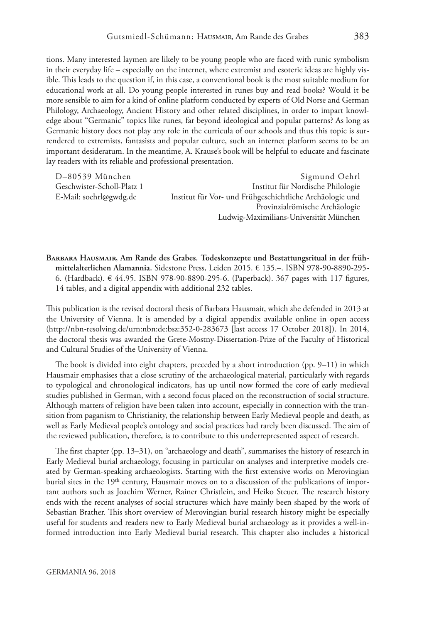tions. Many interested laymen are likely to be young people who are faced with runic symbolism in their everyday life – especially on the internet, where extremist and esoteric ideas are highly visible. This leads to the question if, in this case, a conventional book is the most suitable medium for educational work at all. Do young people interested in runes buy and read books? Would it be more sensible to aim for a kind of online platform conducted by experts of Old Norse and German Philology, Archaeology, Ancient History and other related disciplines, in order to impart knowledge about "Germanic" topics like runes, far beyond ideological and popular patterns? As long as Germanic history does not play any role in the curricula of our schools and thus this topic is surrendered to extremists, fantasists and popular culture, such an internet platform seems to be an important desideratum. In the meantime, A. Krause's book will be helpful to educate and fascinate lay readers with its reliable and professional presentation.

D–80539 München Sigmund Oehrl Geschwister-Scholl-Platz 1 Institut für Nordische Philologie E-Mail: [soehrl@gwdg.de](mailto:soehrl@gwdg.de) Institut für Vor- und Frühgeschichtliche Archäologie und Provinzialrömische Archäologie Ludwig-Maximilians-Universität München

**Barbara Hausmair, Am Rande des Grabes. Todeskonzepte und Bestattungsritual in der frühmittelalterlichen Alamannia.** Sidestone Press, Leiden 2015. € 135.–. ISBN 978-90-8890-295- 6. (Hardback). € 44.95. ISBN 978-90-8890-295-6. (Paperback). 367 pages with 117 fgures, 14 tables, and a digital appendix with additional 232 tables.

This publication is the revised doctoral thesis of Barbara Hausmair, which she defended in 2013 at the University of Vienna. It is amended by a digital appendix available online in open access [\(http://nbn-resolving.de/urn:nbn:de:bsz:352-0-283673 \[](http://nbn-resolving.de/urn:nbn:de:bsz:352-0-283673)last access 17 October 2018]). In 2014, the doctoral thesis was awarded the Grete-Mostny-Dissertation-Prize of the Faculty of Historical and Cultural Studies of the University of Vienna.

The book is divided into eight chapters, preceded by a short introduction (pp.  $9-11$ ) in which Hausmair emphasises that a close scrutiny of the archaeological material, particularly with regards to typological and chronological indicators, has up until now formed the core of early medieval studies published in German, with a second focus placed on the reconstruction of social structure. Although matters of religion have been taken into account, especially in connection with the transition from paganism to Christianity, the relationship between Early Medieval people and death, as well as Early Medieval people's ontology and social practices had rarely been discussed. The aim of the reviewed publication, therefore, is to contribute to this underrepresented aspect of research.

The first chapter (pp. 13–31), on "archaeology and death", summarises the history of research in Early Medieval burial archaeology, focusing in particular on analyses and interpretive models created by German-speaking archaeologists. Starting with the frst extensive works on Merovingian burial sites in the 19<sup>th</sup> century, Hausmair moves on to a discussion of the publications of important authors such as Joachim Werner, Rainer Christlein, and Heiko Steuer. The research history ends with the recent analyses of social structures which have mainly been shaped by the work of Sebastian Brather. This short overview of Merovingian burial research history might be especially useful for students and readers new to Early Medieval burial archaeology as it provides a well-informed introduction into Early Medieval burial research. This chapter also includes a historical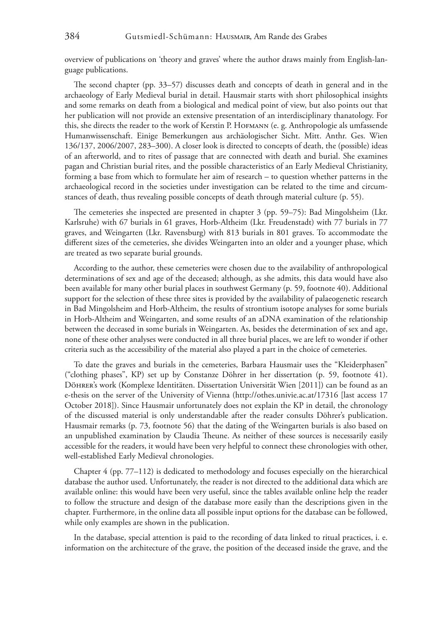overview of publications on 'theory and graves' where the author draws mainly from English-language publications.

The second chapter (pp.  $33-57$ ) discusses death and concepts of death in general and in the archaeology of Early Medieval burial in detail. Hausmair starts with short philosophical insights and some remarks on death from a biological and medical point of view, but also points out that her publication will not provide an extensive presentation of an interdisciplinary thanatology. For this, she directs the reader to the work of Kerstin P. Hofmann (e. g. Anthropologie als umfassende Humanwissenschaft. Einige Bemerkungen aus archäologischer Sicht. Mitt. Anthr. Ges. Wien 136/137, 2006/2007, 283–300). A closer look is directed to concepts of death, the (possible) ideas of an afterworld, and to rites of passage that are connected with death and burial. She examines pagan and Christian burial rites, and the possible characteristics of an Early Medieval Christianity, forming a base from which to formulate her aim of research – to question whether patterns in the archaeological record in the societies under investigation can be related to the time and circumstances of death, thus revealing possible concepts of death through material culture (p. 55).

The cemeteries she inspected are presented in chapter  $3$  (pp. 59–75): Bad Mingolsheim (Lkr. Karlsruhe) with 67 burials in 61 graves, Horb-Altheim (Lkr. Freudenstadt) with 77 burials in 77 graves, and Weingarten (Lkr. Ravensburg) with 813 burials in 801 graves. To accommodate the diferent sizes of the cemeteries, she divides Weingarten into an older and a younger phase, which are treated as two separate burial grounds.

According to the author, these cemeteries were chosen due to the availability of anthropological determinations of sex and age of the deceased; although, as she admits, this data would have also been available for many other burial places in southwest Germany (p. 59, footnote 40). Additional support for the selection of these three sites is provided by the availability of palaeogenetic research in Bad Mingolsheim and Horb-Altheim, the results of strontium isotope analyses for some burials in Horb-Altheim and Weingarten, and some results of an aDNA examination of the relationship between the deceased in some burials in Weingarten. As, besides the determination of sex and age, none of these other analyses were conducted in all three burial places, we are left to wonder if other criteria such as the accessibility of the material also played a part in the choice of cemeteries.

To date the graves and burials in the cemeteries, Barbara Hausmair uses the "Kleiderphasen" ("clothing phases", KP) set up by Constanze Döhrer in her dissertation (p. 59, footnote 41). DöHRER's work (Komplexe Identitäten. Dissertation Universität Wien [2011]) can be found as an e-thesis on the server of the University of Vienna ([http://othes.univie.ac.at/17316 \[last](http://othes.univie.ac.at/17316) access 17 October 2018]). Since Hausmair unfortunately does not explain the KP in detail, the chronology of the discussed material is only understandable after the reader consults Döhrer's publication. Hausmair remarks (p. 73, footnote 56) that the dating of the Weingarten burials is also based on an unpublished examination by Claudia Theune. As neither of these sources is necessarily easily accessible for the readers, it would have been very helpful to connect these chronologies with other, well-established Early Medieval chronologies.

Chapter 4 (pp. 77–112) is dedicated to methodology and focuses especially on the hierarchical database the author used. Unfortunately, the reader is not directed to the additional data which are available online: this would have been very useful, since the tables available online help the reader to follow the structure and design of the database more easily than the descriptions given in the chapter. Furthermore, in the online data all possible input options for the database can be followed, while only examples are shown in the publication.

In the database, special attention is paid to the recording of data linked to ritual practices, i. e. information on the architecture of the grave, the position of the deceased inside the grave, and the